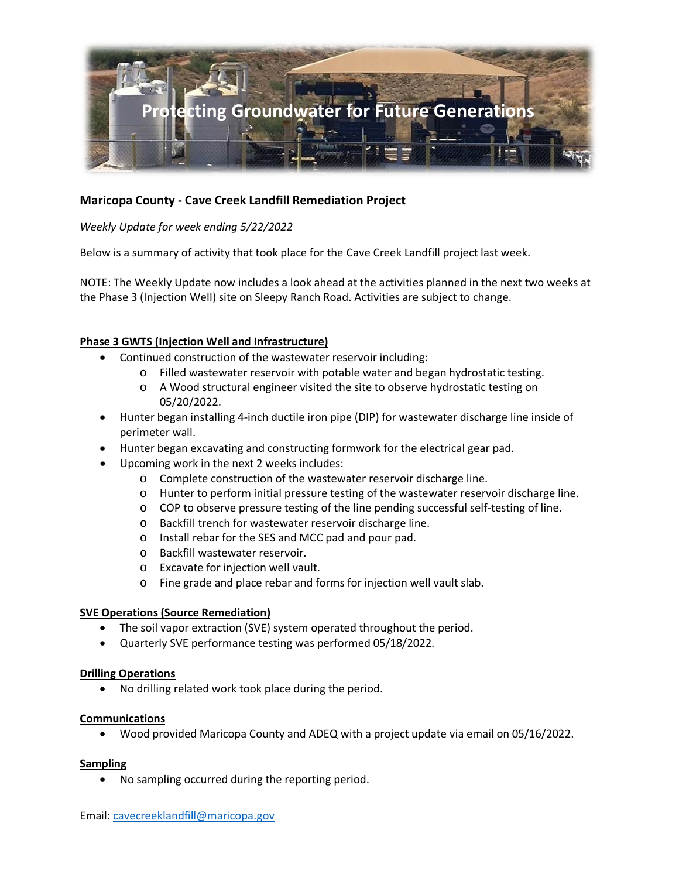

# **Maricopa County - Cave Creek Landfill Remediation Project**

## *Weekly Update for week ending 5/22/2022*

Below is a summary of activity that took place for the Cave Creek Landfill project last week.

NOTE: The Weekly Update now includes a look ahead at the activities planned in the next two weeks at the Phase 3 (Injection Well) site on Sleepy Ranch Road. Activities are subject to change.

## **Phase 3 GWTS (Injection Well and Infrastructure)**

- Continued construction of the wastewater reservoir including:
	- o Filled wastewater reservoir with potable water and began hydrostatic testing.
	- o A Wood structural engineer visited the site to observe hydrostatic testing on 05/20/2022.
- Hunter began installing 4-inch ductile iron pipe (DIP) for wastewater discharge line inside of perimeter wall.
- Hunter began excavating and constructing formwork for the electrical gear pad.
- Upcoming work in the next 2 weeks includes:
	- o Complete construction of the wastewater reservoir discharge line.
	- o Hunter to perform initial pressure testing of the wastewater reservoir discharge line.
	- $\circ$  COP to observe pressure testing of the line pending successful self-testing of line.
	- o Backfill trench for wastewater reservoir discharge line.
	- o Install rebar for the SES and MCC pad and pour pad.
	- o Backfill wastewater reservoir.
	- o Excavate for injection well vault.
	- o Fine grade and place rebar and forms for injection well vault slab.

### **SVE Operations (Source Remediation)**

- The soil vapor extraction (SVE) system operated throughout the period.
- Quarterly SVE performance testing was performed 05/18/2022.

### **Drilling Operations**

• No drilling related work took place during the period.

### **Communications**

• Wood provided Maricopa County and ADEQ with a project update via email on 05/16/2022.

#### **Sampling**

• No sampling occurred during the reporting period.